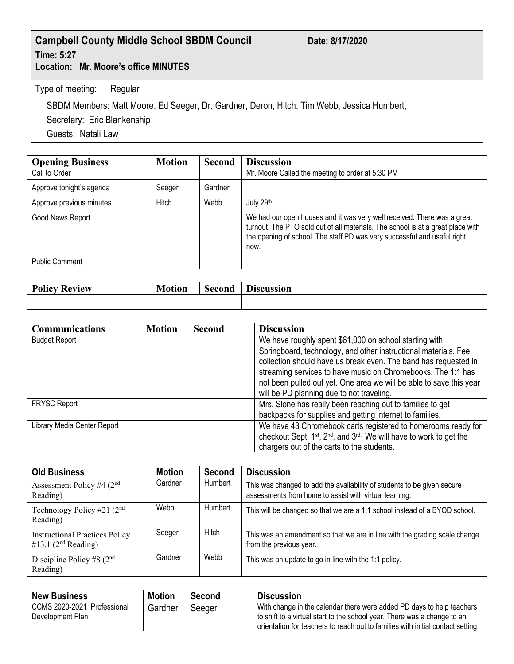## **Campbell County Middle School SBDM Council Date: 8/17/2020 Time: 5:27**

**Location: Mr. Moore's office MINUTES**

Type of meeting: Regular

SBDM Members: Matt Moore, Ed Seeger, Dr. Gardner, Deron, Hitch, Tim Webb, Jessica Humbert,

Secretary: Eric Blankenship

Guests: Natali Law

| <b>Opening Business</b>  | <b>Motion</b> | <b>Second</b> | <b>Discussion</b>                                                                                                                                                                                                                              |
|--------------------------|---------------|---------------|------------------------------------------------------------------------------------------------------------------------------------------------------------------------------------------------------------------------------------------------|
| Call to Order            |               |               | Mr. Moore Called the meeting to order at 5:30 PM                                                                                                                                                                                               |
| Approve tonight's agenda | Seeger        | Gardner       |                                                                                                                                                                                                                                                |
| Approve previous minutes | Hitch         | Webb          | July 29th                                                                                                                                                                                                                                      |
| Good News Report         |               |               | We had our open houses and it was very well received. There was a great<br>turnout. The PTO sold out of all materials. The school is at a great place with<br>the opening of school. The staff PD was very successful and useful right<br>now. |
| <b>Public Comment</b>    |               |               |                                                                                                                                                                                                                                                |

| <b>Policy</b><br><b>Review</b> | . Æ<br>в.<br>.atiar | Second | ')iscussion |
|--------------------------------|---------------------|--------|-------------|
|                                |                     |        |             |

| <b>Communications</b>       | <b>Motion</b> | Second | <b>Discussion</b>                                                                          |
|-----------------------------|---------------|--------|--------------------------------------------------------------------------------------------|
| <b>Budget Report</b>        |               |        | We have roughly spent \$61,000 on school starting with                                     |
|                             |               |        | Springboard, technology, and other instructional materials. Fee                            |
|                             |               |        | collection should have us break even. The band has requested in                            |
|                             |               |        | streaming services to have music on Chromebooks. The 1:1 has                               |
|                             |               |        | not been pulled out yet. One area we will be able to save this year                        |
|                             |               |        | will be PD planning due to not traveling.                                                  |
| <b>FRYSC Report</b>         |               |        | Mrs. Slone has really been reaching out to families to get                                 |
|                             |               |        | backpacks for supplies and getting internet to families.                                   |
| Library Media Center Report |               |        | We have 43 Chromebook carts registered to homerooms ready for                              |
|                             |               |        | checkout Sept. 1st, 2 <sup>nd</sup> , and 3 <sup>rd.</sup> We will have to work to get the |
|                             |               |        | chargers out of the carts to the students.                                                 |

| <b>Old Business</b>                                            | <b>Motion</b> | Second  | <b>Discussion</b>                                                                                                                 |
|----------------------------------------------------------------|---------------|---------|-----------------------------------------------------------------------------------------------------------------------------------|
| Assessment Policy #4 $(2nd$<br>Reading)                        | Gardner       | Humbert | This was changed to add the availability of students to be given secure<br>assessments from home to assist with virtual learning. |
| Technology Policy #21 $(2nd$<br>Reading)                       | Webb          | Humbert | This will be changed so that we are a 1:1 school instead of a BYOD school.                                                        |
| <b>Instructional Practices Policy</b><br>#13.1 $(2nd Reading)$ | Seeger        | Hitch   | This was an amendment so that we are in line with the grading scale change<br>from the previous year.                             |
| Discipline Policy #8 $(2nd$<br>Reading)                        | Gardner       | Webb    | This was an update to go in line with the 1:1 policy.                                                                             |

| <b>New Business</b>                             | <b>Motion</b> | <b>Second</b> | Discussion                                                                                                                                                                                                                          |
|-------------------------------------------------|---------------|---------------|-------------------------------------------------------------------------------------------------------------------------------------------------------------------------------------------------------------------------------------|
| CCMS 2020-2021 Professional<br>Development Plan | Gardner       | Seeger        | With change in the calendar there were added PD days to help teachers<br>to shift to a virtual start to the school year. There was a change to an<br>orientation for teachers to reach out to families with initial contact setting |